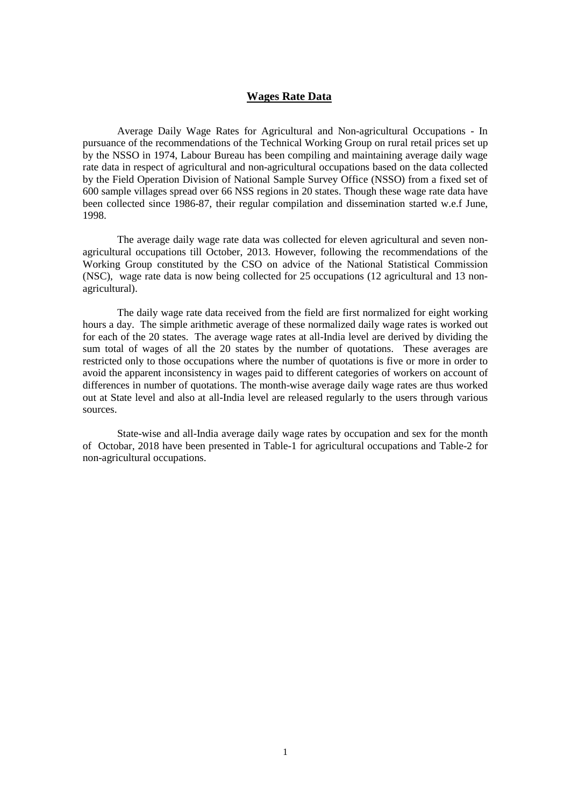## **Wages Rate Data**

Average Daily Wage Rates for Agricultural and Non-agricultural Occupations - In pursuance of the recommendations of the Technical Working Group on rural retail prices set up by the NSSO in 1974, Labour Bureau has been compiling and maintaining average daily wage rate data in respect of agricultural and non-agricultural occupations based on the data collected by the Field Operation Division of National Sample Survey Office (NSSO) from a fixed set of 600 sample villages spread over 66 NSS regions in 20 states. Though these wage rate data have been collected since 1986-87, their regular compilation and dissemination started w.e.f June, 1998.

The average daily wage rate data was collected for eleven agricultural and seven nonagricultural occupations till October, 2013. However, following the recommendations of the Working Group constituted by the CSO on advice of the National Statistical Commission (NSC), wage rate data is now being collected for 25 occupations (12 agricultural and 13 nonagricultural).

The daily wage rate data received from the field are first normalized for eight working hours a day. The simple arithmetic average of these normalized daily wage rates is worked out for each of the 20 states. The average wage rates at all-India level are derived by dividing the sum total of wages of all the 20 states by the number of quotations. These averages are restricted only to those occupations where the number of quotations is five or more in order to avoid the apparent inconsistency in wages paid to different categories of workers on account of differences in number of quotations. The month-wise average daily wage rates are thus worked out at State level and also at all-India level are released regularly to the users through various sources.

State-wise and all-India average daily wage rates by occupation and sex for the month of Octobar, 2018 have been presented in Table-1 for agricultural occupations and Table-2 for non-agricultural occupations.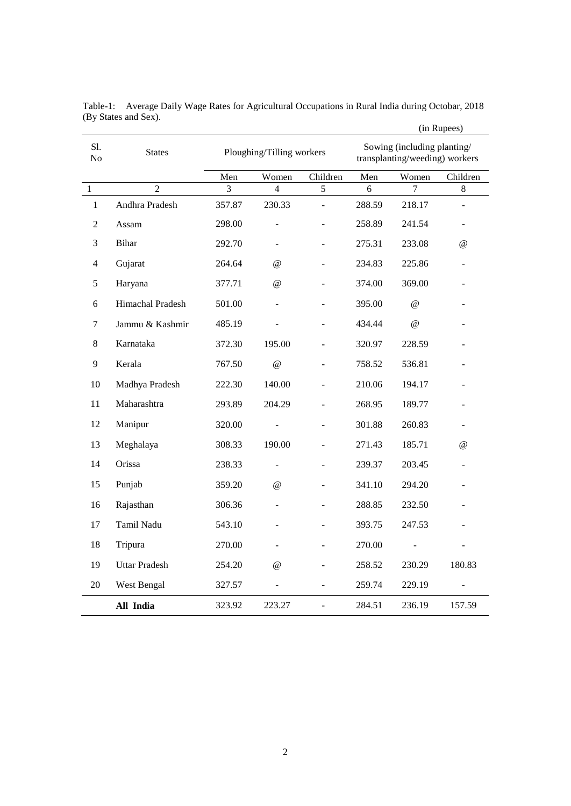|              |                      |                           |                |                                                               |        |                                 | (in Rupees) |
|--------------|----------------------|---------------------------|----------------|---------------------------------------------------------------|--------|---------------------------------|-------------|
| S1.<br>No    | <b>States</b>        | Ploughing/Tilling workers |                | Sowing (including planting/<br>transplanting/weeding) workers |        |                                 |             |
|              |                      | Men                       | Women          | Children                                                      | Men    | Women                           | Children    |
| $\mathbf{1}$ | $\overline{2}$       | 3                         | $\overline{4}$ | $\sqrt{5}$                                                    | 6      | 7                               | $8\,$       |
| $\mathbf{1}$ | Andhra Pradesh       | 357.87                    | 230.33         |                                                               | 288.59 | 218.17                          | ÷           |
| 2            | Assam                | 298.00                    |                |                                                               | 258.89 | 241.54                          | ٠           |
| 3            | Bihar                | 292.70                    | $\overline{a}$ | $\overline{a}$                                                | 275.31 | 233.08                          | $\omega$    |
| 4            | Gujarat              | 264.64                    | $\omega$       | ÷                                                             | 234.83 | 225.86                          |             |
| 5            | Haryana              | 377.71                    | $\omega$       | $\qquad \qquad \blacksquare$                                  | 374.00 | 369.00                          |             |
| 6            | Himachal Pradesh     | 501.00                    |                |                                                               | 395.00 | $^{\scriptsize\textregistered}$ |             |
| 7            | Jammu & Kashmir      | 485.19                    |                |                                                               | 434.44 | @                               |             |
| 8            | Karnataka            | 372.30                    | 195.00         |                                                               | 320.97 | 228.59                          |             |
| 9            | Kerala               | 767.50                    | $\omega$       |                                                               | 758.52 | 536.81                          |             |
| 10           | Madhya Pradesh       | 222.30                    | 140.00         |                                                               | 210.06 | 194.17                          |             |
| 11           | Maharashtra          | 293.89                    | 204.29         |                                                               | 268.95 | 189.77                          |             |
| 12           | Manipur              | 320.00                    |                |                                                               | 301.88 | 260.83                          | ÷           |
| 13           | Meghalaya            | 308.33                    | 190.00         |                                                               | 271.43 | 185.71                          | $^{\circ}$  |
| 14           | Orissa               | 238.33                    |                |                                                               | 239.37 | 203.45                          |             |
| 15           | Punjab               | 359.20                    | $\omega$       |                                                               | 341.10 | 294.20                          |             |
| 16           | Rajasthan            | 306.36                    |                |                                                               | 288.85 | 232.50                          |             |
| 17           | Tamil Nadu           | 543.10                    |                |                                                               | 393.75 | 247.53                          |             |
| 18           | Tripura              | 270.00                    |                |                                                               | 270.00 |                                 |             |
| 19           | <b>Uttar Pradesh</b> | 254.20                    | $^{\circ}$     |                                                               | 258.52 | 230.29                          | 180.83      |
| 20           | West Bengal          | 327.57                    |                | L,                                                            | 259.74 | 229.19                          |             |
|              | All India            | 323.92                    | 223.27         | $\overline{a}$                                                | 284.51 | 236.19                          | 157.59      |

Table-1: Average Daily Wage Rates for Agricultural Occupations in Rural India during Octobar, 2018 (By States and Sex).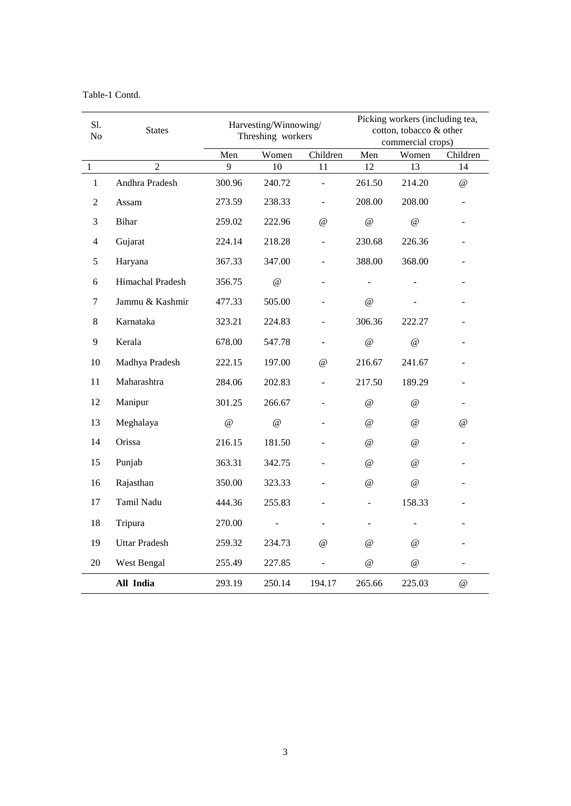Table-1 Contd.

| Sl.<br>No    | <b>States</b>        |          | Harvesting/Winnowing/<br>Threshing workers |                      |                           | Picking workers (including tea,<br>cotton, tobacco & other<br>commercial crops) |                |  |
|--------------|----------------------|----------|--------------------------------------------|----------------------|---------------------------|---------------------------------------------------------------------------------|----------------|--|
|              |                      | Men      | Women                                      | Children             | Men                       | Women                                                                           | Children       |  |
| $\,1\,$      | $\overline{2}$       | 9        | 10                                         | 11                   | 12                        | 13                                                                              | 14             |  |
| $\mathbf{1}$ | Andhra Pradesh       | 300.96   | 240.72                                     |                      | 261.50                    | 214.20                                                                          | $\omega$       |  |
| 2            | Assam                | 273.59   | 238.33                                     |                      | 208.00                    | 208.00                                                                          | ÷,             |  |
| 3            | Bihar                | 259.02   | 222.96                                     | $\omega$             | $\omega$                  | $\omega$                                                                        |                |  |
| 4            | Gujarat              | 224.14   | 218.28                                     |                      | 230.68                    | 226.36                                                                          |                |  |
| $\sqrt{5}$   | Haryana              | 367.33   | 347.00                                     |                      | 388.00                    | 368.00                                                                          |                |  |
| 6            | Himachal Pradesh     | 356.75   | $^{\circ}$                                 | ÷,                   |                           |                                                                                 |                |  |
| 7            | Jammu & Kashmir      | 477.33   | 505.00                                     |                      | $\omega$                  |                                                                                 |                |  |
| 8            | Karnataka            | 323.21   | 224.83                                     |                      | 306.36                    | 222.27                                                                          |                |  |
| 9            | Kerala               | 678.00   | 547.78                                     |                      | $^\text{\textregistered}$ | $^{\scriptsize\textregistered}$                                                 |                |  |
| 10           | Madhya Pradesh       | 222.15   | 197.00                                     | $^{\textregistered}$ | 216.67                    | 241.67                                                                          |                |  |
| 11           | Maharashtra          | 284.06   | 202.83                                     |                      | 217.50                    | 189.29                                                                          |                |  |
| 12           | Manipur              | 301.25   | 266.67                                     |                      | $\omega$                  | $\omega$                                                                        |                |  |
| 13           | Meghalaya            | $\omega$ | $\omega$                                   |                      | $\omega$                  | $\omega$                                                                        | $\omega$       |  |
| 14           | Orissa               | 216.15   | 181.50                                     |                      | $^{\omega}$               | $^{\textregistered}$                                                            | -              |  |
| 15           | Punjab               | 363.31   | 342.75                                     |                      | $\omega$                  | $\omega$                                                                        |                |  |
| 16           | Rajasthan            | 350.00   | 323.33                                     |                      | $\omega$                  | $\omega$                                                                        |                |  |
| 17           | Tamil Nadu           | 444.36   | 255.83                                     |                      | ÷,                        | 158.33                                                                          |                |  |
| 18           | Tripura              | 270.00   |                                            |                      |                           |                                                                                 |                |  |
| 19           | <b>Uttar Pradesh</b> | 259.32   | 234.73                                     | $\omega$             | $\omega$                  | $\omega$                                                                        |                |  |
| 20           | West Bengal          | 255.49   | 227.85                                     |                      | $^{\circ}$                | $\omega$                                                                        | $\overline{a}$ |  |
|              | All India            | 293.19   | 250.14                                     | 194.17               | 265.66                    | 225.03                                                                          | $^{\circledR}$ |  |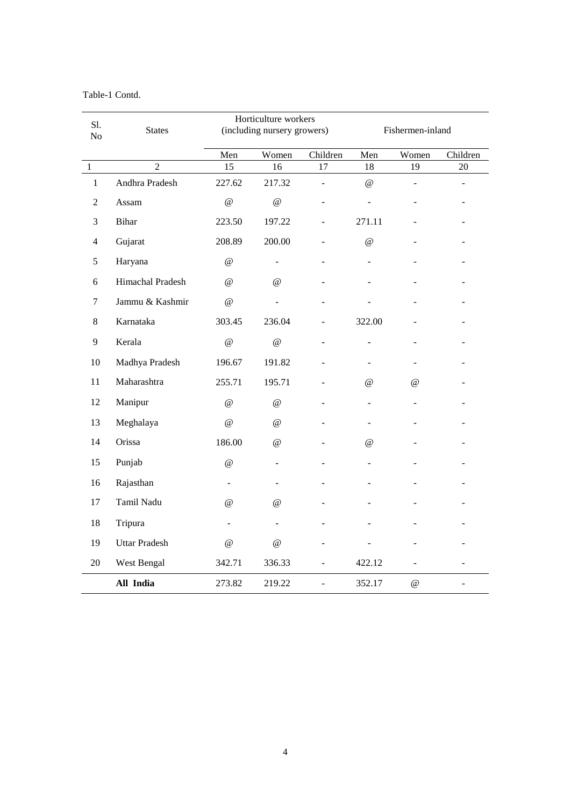Table-1 Contd.

| Sl.              | <b>States</b>        | Horticulture workers<br>(including nursery growers) |                           |                |                           | Fishermen-inland                |          |
|------------------|----------------------|-----------------------------------------------------|---------------------------|----------------|---------------------------|---------------------------------|----------|
| No               |                      |                                                     |                           |                |                           |                                 |          |
|                  |                      | Men                                                 | Women                     | Children       | Men                       | Women                           | Children |
| $\mathbf{1}$     | $\overline{2}$       | 15                                                  | 16                        | 17             | 18                        | 19                              | $20\,$   |
| $\mathbf{1}$     | Andhra Pradesh       | 227.62                                              | 217.32                    |                | $^\text{\textregistered}$ | $\overline{a}$                  | ä,       |
| $\mathfrak{2}$   | Assam                | $\omega$                                            | $\omega$                  |                |                           |                                 |          |
| 3                | <b>Bihar</b>         | 223.50                                              | 197.22                    |                | 271.11                    |                                 |          |
| 4                | Gujarat              | 208.89                                              | 200.00                    |                | $^{\circledR}$            |                                 |          |
| 5                | Haryana              | $\omega$                                            | $\overline{a}$            |                |                           |                                 |          |
| $\sqrt{6}$       | Himachal Pradesh     | $\omega$                                            | $\omega$                  |                |                           |                                 |          |
| $\boldsymbol{7}$ | Jammu & Kashmir      | @                                                   |                           |                |                           |                                 |          |
| 8                | Karnataka            | 303.45                                              | 236.04                    |                | 322.00                    |                                 |          |
| 9                | Kerala               | $^\text{\textregistered}$                           | $\omega$                  |                |                           |                                 |          |
| 10               | Madhya Pradesh       | 196.67                                              | 191.82                    |                |                           |                                 |          |
| 11               | Maharashtra          | 255.71                                              | 195.71                    |                | $\omega$                  | $\omega$                        |          |
| 12               | Manipur              | @                                                   | $\cal{Q}$                 |                |                           |                                 |          |
| 13               | Meghalaya            | $^{\omega}{}$                                       | $^{\circ}$                |                |                           |                                 |          |
| 14               | Orissa               | 186.00                                              | $^\text{\textregistered}$ |                | @                         |                                 |          |
| 15               | Punjab               | $^{\scriptsize\textregistered}$                     | -                         |                |                           |                                 |          |
| 16               | Rajasthan            | $\overline{a}$                                      |                           |                |                           |                                 |          |
| 17               | Tamil Nadu           | $\omega$                                            | $\omega$                  |                |                           |                                 |          |
| 18               | Tripura              | $\overline{a}$                                      |                           |                |                           |                                 |          |
| 19               | <b>Uttar Pradesh</b> | $^{\omega}{}$                                       | $^{\circ}$                |                |                           |                                 |          |
| 20               | West Bengal          | 342.71                                              | 336.33                    | $\overline{a}$ | 422.12                    | $\overline{a}$                  |          |
|                  | All India            | 273.82                                              | 219.22                    | ÷,             | 352.17                    | $^{\scriptsize\textregistered}$ | ÷        |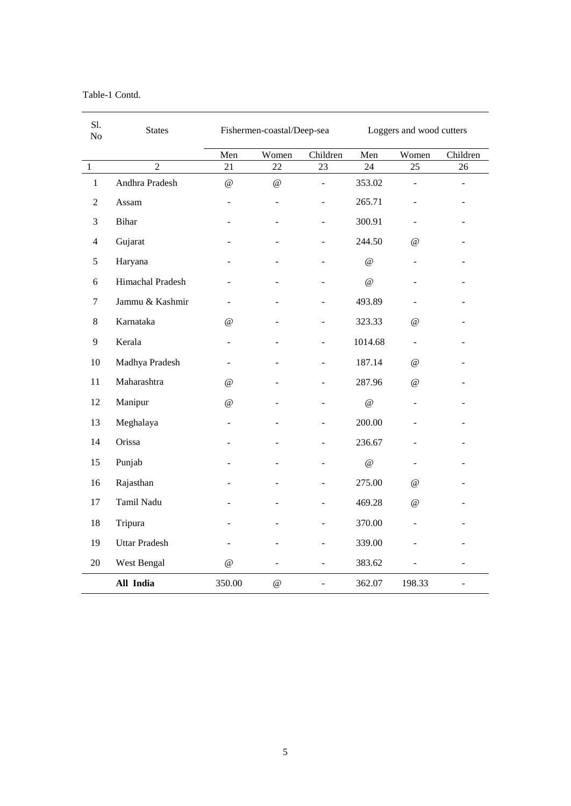Table-1 Contd.

| Sl.<br>N <sub>o</sub> | <b>States</b>        |                          | Fishermen-coastal/Deep-sea      |                              | Loggers and wood cutters  |                          |                |
|-----------------------|----------------------|--------------------------|---------------------------------|------------------------------|---------------------------|--------------------------|----------------|
|                       |                      | Men                      | Women                           | Children                     | Men                       | Women                    | Children       |
| $\mathbf 1$           | $\overline{2}$       | 21                       | 22                              | 23                           | 24                        | 25                       | 26             |
| $\mathbf{1}$          | Andhra Pradesh       | $^{\textregistered}$     | $^{\scriptsize\textregistered}$ | $\blacksquare$               | 353.02                    | $\sim$                   | ÷              |
| $\overline{2}$        | Assam                | $\overline{\phantom{0}}$ |                                 | ۰                            | 265.71                    |                          |                |
| 3                     | <b>Bihar</b>         |                          |                                 | $\qquad \qquad \blacksquare$ | 300.91                    | $\overline{\phantom{a}}$ |                |
| $\overline{4}$        | Gujarat              |                          |                                 |                              | 244.50                    | @                        |                |
| 5                     | Haryana              |                          |                                 |                              | $\cal{Q}$                 | $\overline{\phantom{a}}$ |                |
| 6                     | Himachal Pradesh     |                          |                                 |                              | @                         |                          | ۰              |
| $\boldsymbol{7}$      | Jammu & Kashmir      | ÷,                       |                                 |                              | 493.89                    |                          |                |
| 8                     | Karnataka            | $^{\textregistered}$     |                                 | ٠                            | 323.33                    | @                        |                |
| 9                     | Kerala               | ÷                        |                                 | $\overline{\phantom{0}}$     | 1014.68                   | $\blacksquare$           | ۰              |
| 10                    | Madhya Pradesh       | ÷,                       |                                 | $\overline{a}$               | 187.14                    | @                        |                |
| $11\,$                | Maharashtra          | $\omega$                 |                                 |                              | 287.96                    | @                        |                |
| 12                    | Manipur              | $\omega$                 |                                 |                              | $^\text{\textregistered}$ | $\overline{\phantom{a}}$ | ۰              |
| 13                    | Meghalaya            |                          |                                 |                              | 200.00                    |                          |                |
| 14                    | Orissa               |                          |                                 |                              | 236.67                    |                          |                |
| 15                    | Punjab               |                          |                                 | $\overline{\phantom{a}}$     | $\cal{Q}$                 | $\overline{\phantom{a}}$ |                |
| 16                    | Rajasthan            |                          |                                 |                              | 275.00                    | @                        |                |
| 17                    | Tamil Nadu           |                          |                                 |                              | 469.28                    | @                        |                |
| 18                    | Tripura              |                          |                                 |                              | 370.00                    |                          |                |
| 19                    | <b>Uttar Pradesh</b> |                          |                                 |                              | 339.00                    |                          |                |
| 20                    | West Bengal          | $^{\textregistered}$     |                                 | $\overline{a}$               | 383.62                    |                          |                |
|                       | All India            | 350.00                   | $^\text{\textregistered}$       | ÷,                           | 362.07                    | 198.33                   | $\blacksquare$ |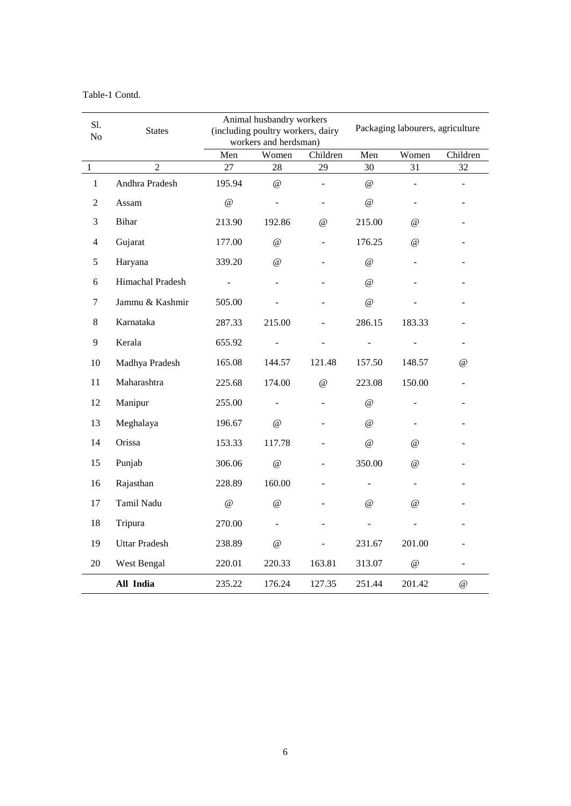| Table-1 Contd. |  |
|----------------|--|
|----------------|--|

| Sl.            | <b>States</b>        | Animal husbandry workers<br>(including poultry workers, dairy |                                 |                | Packaging labourers, agriculture |           |          |
|----------------|----------------------|---------------------------------------------------------------|---------------------------------|----------------|----------------------------------|-----------|----------|
| No             |                      |                                                               | workers and herdsman)           |                |                                  |           |          |
|                |                      | Men                                                           | Women                           | Children       | Men                              | Women     | Children |
| $\mathbf{1}$   | $\overline{2}$       | 27                                                            | 28                              | 29             | 30                               | 31        | 32       |
| $\mathbf{1}$   | Andhra Pradesh       | 195.94                                                        | $^{\scriptsize\textregistered}$ |                | $^{\circ}$                       |           |          |
| 2              | Assam                | $\omega$                                                      |                                 |                | $^{\circ}$                       |           |          |
| 3              | <b>Bihar</b>         | 213.90                                                        | 192.86                          | $\omega$       | 215.00                           | $\omega$  |          |
| $\overline{4}$ | Gujarat              | 177.00                                                        | $\omega$                        |                | 176.25                           | @         |          |
| 5              | Haryana              | 339.20                                                        | $\omega$                        |                | $\omega$                         |           |          |
| 6              | Himachal Pradesh     |                                                               |                                 |                | $\omega$                         |           |          |
| 7              | Jammu & Kashmir      | 505.00                                                        |                                 |                | $\omega$                         |           |          |
| 8              | Karnataka            | 287.33                                                        | 215.00                          | $\overline{a}$ | 286.15                           | 183.33    |          |
| 9              | Kerala               | 655.92                                                        |                                 |                |                                  |           |          |
| 10             | Madhya Pradesh       | 165.08                                                        | 144.57                          | 121.48         | 157.50                           | 148.57    | @        |
| 11             | Maharashtra          | 225.68                                                        | 174.00                          | $^{\circ}$     | 223.08                           | 150.00    | ÷.       |
| 12             | Manipur              | 255.00                                                        |                                 |                | $^{\circ}$                       |           |          |
| 13             | Meghalaya            | 196.67                                                        | $^{\circ}$                      |                | $^{\circ}$                       |           |          |
| 14             | Orissa               | 153.33                                                        | 117.78                          |                | $^{\circ}$                       | @         |          |
| 15             | Punjab               | 306.06                                                        | $^{\circ}$                      |                | 350.00                           | @         |          |
| 16             | Rajasthan            | 228.89                                                        | 160.00                          |                |                                  |           |          |
| 17             | Tamil Nadu           | $^\text{\textregistered}$                                     | $^{\scriptsize\textregistered}$ |                | $^{\textregistered}$             | $\omega$  |          |
| $18\,$         | Tripura              | 270.00                                                        |                                 |                |                                  |           |          |
| 19             | <b>Uttar Pradesh</b> | 238.89                                                        | $\omega$                        |                | 231.67                           | 201.00    |          |
| 20             | West Bengal          | 220.01                                                        | 220.33                          | 163.81         | 313.07                           | $\cal{Q}$ | ÷        |
|                | All India            | 235.22                                                        | 176.24                          | 127.35         | 251.44                           | 201.42    | $\omega$ |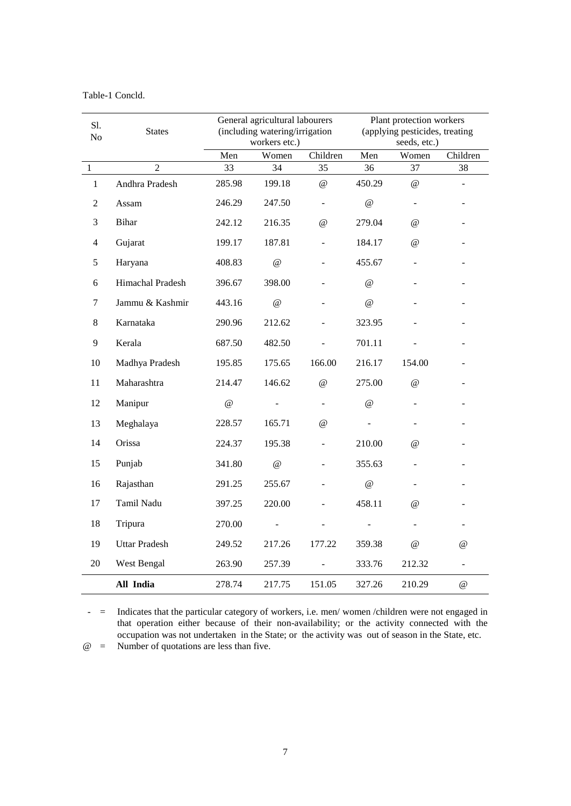| Table-1 Concld. |  |
|-----------------|--|
|-----------------|--|

| Sl.<br>No      | <b>States</b>        | General agricultural labourers<br>(including watering/irrigation<br>workers etc.) |            |                          | Plant protection workers<br>(applying pesticides, treating<br>seeds, etc.) |                                 |                           |
|----------------|----------------------|-----------------------------------------------------------------------------------|------------|--------------------------|----------------------------------------------------------------------------|---------------------------------|---------------------------|
|                |                      | Men                                                                               | Women      | Children                 | Men                                                                        | Women                           | Children                  |
| $\mathbf{1}$   | $\overline{2}$       | 33                                                                                | 34         | 35                       | 36                                                                         | 37                              | 38                        |
| $\mathbf{1}$   | Andhra Pradesh       | 285.98                                                                            | 199.18     | $^{\circ}$               | 450.29                                                                     | $\omega$                        |                           |
| $\overline{2}$ | Assam                | 246.29                                                                            | 247.50     | $\overline{\phantom{0}}$ | $^\text{\textregistered}$                                                  | $\blacksquare$                  |                           |
| 3              | <b>Bihar</b>         | 242.12                                                                            | 216.35     | $^{\textregistered}$     | 279.04                                                                     | $\omega$                        |                           |
| 4              | Gujarat              | 199.17                                                                            | 187.81     | ÷,                       | 184.17                                                                     | @                               |                           |
| 5              | Haryana              | 408.83                                                                            | $^{\circ}$ |                          | 455.67                                                                     |                                 |                           |
| 6              | Himachal Pradesh     | 396.67                                                                            | 398.00     |                          | $^{\circ}$                                                                 |                                 |                           |
| 7              | Jammu & Kashmir      | 443.16                                                                            | $\omega$   |                          | $^{\circ}$                                                                 |                                 |                           |
| 8              | Karnataka            | 290.96                                                                            | 212.62     |                          | 323.95                                                                     |                                 |                           |
| 9              | Kerala               | 687.50                                                                            | 482.50     |                          | 701.11                                                                     |                                 |                           |
| 10             | Madhya Pradesh       | 195.85                                                                            | 175.65     | 166.00                   | 216.17                                                                     | 154.00                          |                           |
| 11             | Maharashtra          | 214.47                                                                            | 146.62     | $\omega$                 | 275.00                                                                     | $\omega$                        |                           |
| 12             | Manipur              | $\omega$                                                                          |            |                          | $\omega$                                                                   |                                 |                           |
| 13             | Meghalaya            | 228.57                                                                            | 165.71     | $\omega$                 |                                                                            |                                 |                           |
| 14             | Orissa               | 224.37                                                                            | 195.38     |                          | 210.00                                                                     | @                               |                           |
| 15             | Punjab               | 341.80                                                                            | @          |                          | 355.63                                                                     |                                 |                           |
| 16             | Rajasthan            | 291.25                                                                            | 255.67     |                          | $^{\omega}$                                                                |                                 |                           |
| 17             | Tamil Nadu           | 397.25                                                                            | 220.00     |                          | 458.11                                                                     | $\omega$                        |                           |
| 18             | Tripura              | 270.00                                                                            |            |                          |                                                                            |                                 |                           |
| 19             | <b>Uttar Pradesh</b> | 249.52                                                                            | 217.26     | 177.22                   | 359.38                                                                     | $^{\scriptsize\textregistered}$ | @                         |
| 20             | West Bengal          | 263.90                                                                            | 257.39     |                          | 333.76                                                                     | 212.32                          | $\overline{\phantom{a}}$  |
|                | All India            | 278.74                                                                            | 217.75     | 151.05                   | 327.26                                                                     | 210.29                          | $^\text{\textregistered}$ |

- = Indicates that the particular category of workers, i.e. men/ women /children were not engaged in that operation either because of their non-availability; or the activity connected with the occupation was not undertaken in the State; or the activity was out of season in the State, etc. @ = Number of quotations are less than five.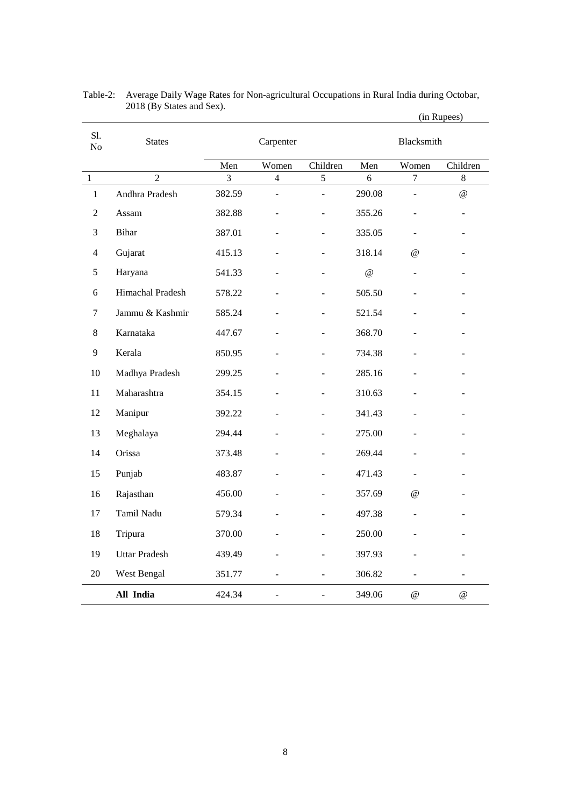|                |                      |        |                |                |          |                          | (in Rupees)              |
|----------------|----------------------|--------|----------------|----------------|----------|--------------------------|--------------------------|
| S1.<br>No      | <b>States</b>        |        | Carpenter      |                |          | <b>Blacksmith</b>        |                          |
|                |                      | Men    | Women          | Children       | Men      | Women                    | Children                 |
| $\,1\,$        | $\overline{2}$       | 3      | $\overline{4}$ | 5              | 6        | $\tau$                   | $8\,$                    |
| $\mathbf{1}$   | Andhra Pradesh       | 382.59 | ÷.             | ÷,             | 290.08   | $\overline{a}$           | @                        |
| $\overline{2}$ | Assam                | 382.88 |                | ÷              | 355.26   | $\blacksquare$           | $\overline{\phantom{0}}$ |
| $\mathfrak{Z}$ | <b>Bihar</b>         | 387.01 |                | ÷,             | 335.05   | $\overline{\phantom{a}}$ | $\overline{\phantom{0}}$ |
| 4              | Gujarat              | 415.13 |                |                | 318.14   | @                        |                          |
| 5              | Haryana              | 541.33 |                | ÷              | $\omega$ | $\overline{\phantom{a}}$ |                          |
| 6              | Himachal Pradesh     | 578.22 |                |                | 505.50   |                          |                          |
| 7              | Jammu & Kashmir      | 585.24 |                | L,             | 521.54   | $\overline{a}$           |                          |
| 8              | Karnataka            | 447.67 |                | L.             | 368.70   |                          |                          |
| 9              | Kerala               | 850.95 |                |                | 734.38   |                          |                          |
| 10             | Madhya Pradesh       | 299.25 |                |                | 285.16   |                          |                          |
| 11             | Maharashtra          | 354.15 |                |                | 310.63   |                          | $\overline{\phantom{0}}$ |
| 12             | Manipur              | 392.22 |                |                | 341.43   |                          |                          |
| 13             | Meghalaya            | 294.44 |                |                | 275.00   |                          |                          |
| 14             | Orissa               | 373.48 |                | L,             | 269.44   |                          | ÷,                       |
| 15             | Punjab               | 483.87 |                |                | 471.43   |                          |                          |
| 16             | Rajasthan            | 456.00 |                | -              | 357.69   | @                        | ÷                        |
| 17             | Tamil Nadu           | 579.34 |                |                | 497.38   |                          |                          |
| 18             | Tripura              | 370.00 |                | L,             | 250.00   | $\overline{\phantom{a}}$ |                          |
| 19             | <b>Uttar Pradesh</b> | 439.49 |                |                | 397.93   |                          |                          |
| 20             | West Bengal          | 351.77 | $\overline{a}$ | $\overline{a}$ | 306.82   | $\overline{\phantom{0}}$ | ÷,                       |
|                | All India            | 424.34 | $\overline{a}$ | $\overline{a}$ | 349.06   | $^{\textregistered}$     | $^{\circ}$               |

| Table-2: Average Daily Wage Rates for Non-agricultural Occupations in Rural India during Octobar, |
|---------------------------------------------------------------------------------------------------|
| 2018 (By States and Sex).                                                                         |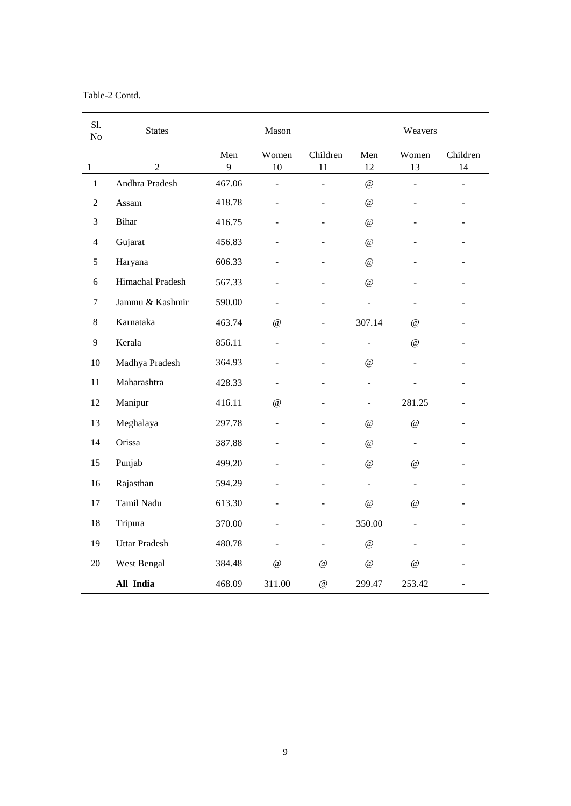## Table-2 Contd.

| Sl.<br>N <sub>o</sub> | <b>States</b>        |        | Mason                           |                           |                           | Weavers                         |                          |
|-----------------------|----------------------|--------|---------------------------------|---------------------------|---------------------------|---------------------------------|--------------------------|
|                       |                      | Men    | Women                           | Children                  | Men                       | Women                           | Children                 |
| $\,1\,$               | $\overline{2}$       | 9      | 10                              | 11                        | 12                        | 13                              | 14                       |
| $\mathbf{1}$          | Andhra Pradesh       | 467.06 |                                 | $\overline{\phantom{a}}$  | $^\text{\textregistered}$ | $\overline{a}$                  | ÷                        |
| 2                     | Assam                | 418.78 |                                 |                           | $\omega$                  | ä,                              |                          |
| 3                     | <b>Bihar</b>         | 416.75 |                                 |                           | $\omega$                  | $\overline{a}$                  |                          |
| 4                     | Gujarat              | 456.83 |                                 |                           | $\omega$                  |                                 |                          |
| 5                     | Haryana              | 606.33 |                                 |                           | $\omega$                  |                                 |                          |
| 6                     | Himachal Pradesh     | 567.33 |                                 |                           | $\omega$                  |                                 |                          |
| 7                     | Jammu & Kashmir      | 590.00 |                                 |                           |                           | $\overline{a}$                  |                          |
| 8                     | Karnataka            | 463.74 | $^{\circ}$                      |                           | 307.14                    | $^{\scriptsize\textregistered}$ |                          |
| 9                     | Kerala               | 856.11 |                                 | ÷                         | ٠                         | $^{\textregistered}$            |                          |
| 10                    | Madhya Pradesh       | 364.93 |                                 |                           | $\omega$                  | $\overline{a}$                  |                          |
| 11                    | Maharashtra          | 428.33 |                                 |                           |                           |                                 |                          |
| 12                    | Manipur              | 416.11 | $^{\scriptsize\textregistered}$ |                           |                           | 281.25                          |                          |
| 13                    | Meghalaya            | 297.78 |                                 |                           | $^{\circ}$                | $^{\scriptsize\textregistered}$ |                          |
| 14                    | Orissa               | 387.88 |                                 |                           | $\omega$                  | $\overline{\phantom{a}}$        |                          |
| 15                    | Punjab               | 499.20 |                                 |                           | $^{\circ}$                | $^{\scriptsize\textregistered}$ |                          |
| 16                    | Rajasthan            | 594.29 |                                 |                           | ÷.                        | $\blacksquare$                  |                          |
| 17                    | Tamil Nadu           | 613.30 |                                 |                           | $\omega$                  | $\omega$                        |                          |
| 18                    | Tripura              | 370.00 |                                 |                           | 350.00                    |                                 |                          |
| 19                    | <b>Uttar Pradesh</b> | 480.78 |                                 |                           | $\omega$                  |                                 |                          |
| 20                    | West Bengal          | 384.48 | $^{\scriptsize\textregistered}$ | $^{\circ}$                | $^\text{\textregistered}$ | $^{\circ}$                      | L,                       |
|                       | All India            | 468.09 | 311.00                          | $^\text{\textregistered}$ | 299.47                    | 253.42                          | $\overline{\phantom{0}}$ |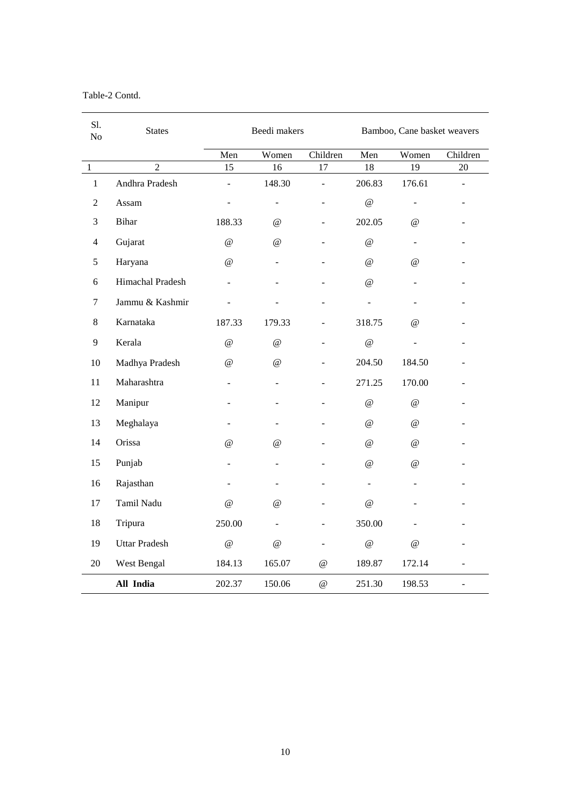## Table-2 Contd.

| Sl.<br>N <sub>o</sub> | <b>States</b>        |                          | Beedi makers             |                           | Bamboo, Cane basket weavers |                      |                |
|-----------------------|----------------------|--------------------------|--------------------------|---------------------------|-----------------------------|----------------------|----------------|
|                       |                      | Men                      | Women                    | Children                  | Men                         | Women                | Children       |
| $\mathbf{1}$          | $\overline{2}$       | 15                       | 16                       | 17                        | 18                          | 19                   | 20             |
| $\mathbf{1}$          | Andhra Pradesh       | $\overline{\phantom{a}}$ | 148.30                   | $\overline{a}$            | 206.83                      | 176.61               | ÷,             |
| $\overline{2}$        | Assam                | $\overline{a}$           | $\overline{\phantom{a}}$ | ۰                         | $\omega$                    | $\blacksquare$       | ÷,             |
| $\mathfrak{Z}$        | Bihar                | 188.33                   | @                        | ÷,                        | 202.05                      | $\omega$             |                |
| $\overline{4}$        | Gujarat              | $\omega$                 | @                        |                           | $^\text{\textregistered}$   | $\equiv$             |                |
| 5                     | Haryana              | $\omega$                 |                          |                           | $\omega$                    | $\omega$             |                |
| 6                     | Himachal Pradesh     |                          |                          |                           | $^{\circ}$                  |                      | ۳              |
| 7                     | Jammu & Kashmir      |                          |                          |                           | ä,                          |                      |                |
| 8                     | Karnataka            | 187.33                   | 179.33                   | $\overline{a}$            | 318.75                      | @                    |                |
| 9                     | Kerala               | $\overline{a}$           | $\omega$                 | ÷                         | $\omega$                    |                      |                |
| 10                    | Madhya Pradesh       | @                        | @                        | ÷,                        | 204.50                      | 184.50               |                |
| $11\,$                | Maharashtra          | $\overline{\phantom{a}}$ |                          |                           | 271.25                      | 170.00               |                |
| 12                    | Manipur              |                          |                          |                           | $^\text{\textregistered}$   | $\omega$             |                |
| 13                    | Meghalaya            | $\overline{a}$           |                          |                           | $\omega$                    | $\omega$             |                |
| 14                    | Orissa               | $\omega$                 | $^{\textregistered}$     |                           | $\omega$                    | $\omega$             | ÷,             |
| 15                    | Punjab               | $\overline{\phantom{0}}$ |                          |                           | $\omega$                    | @                    |                |
| 16                    | Rajasthan            |                          |                          |                           | $\sim$                      |                      |                |
| 17                    | Tamil Nadu           | $\omega$                 | @                        |                           | $\omega$                    |                      |                |
| 18                    | Tripura              | 250.00                   |                          |                           | 350.00                      |                      |                |
| 19                    | <b>Uttar Pradesh</b> | $\omega$                 | $^{\textregistered}$     | ٠                         | $\omega$                    | $^{\textregistered}$ |                |
| 20                    | West Bengal          | 184.13                   | 165.07                   | $^\text{\textregistered}$ | 189.87                      | 172.14               | $\overline{a}$ |
|                       | All India            | 202.37                   | 150.06                   | $^\text{\textregistered}$ | 251.30                      | 198.53               | ÷,             |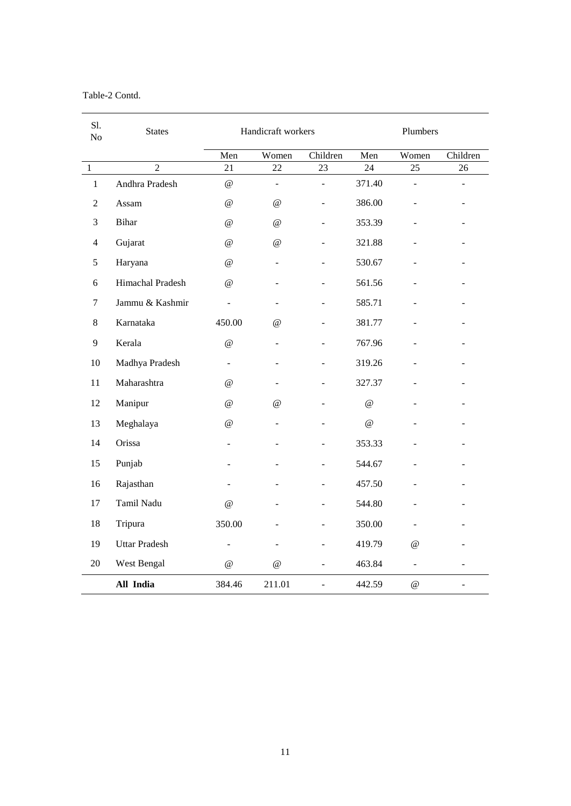Table-2 Contd.

| Sl.<br>No      | <b>States</b>        | Handicraft workers       |                                 | Plumbers                     |          |                |                          |
|----------------|----------------------|--------------------------|---------------------------------|------------------------------|----------|----------------|--------------------------|
|                |                      | Men                      | Women                           | Children                     | Men      | Women          | Children                 |
| $\,1$          | $\overline{2}$       | 21                       | 22                              | 23                           | 24       | 25             | 26                       |
| $\mathbf{1}$   | Andhra Pradesh       | $\omega$                 | $\overline{a}$                  | $\overline{a}$               | 371.40   | $\overline{a}$ | L,                       |
| $\overline{2}$ | Assam                | $\omega$                 | @                               |                              | 386.00   |                |                          |
| 3              | <b>Bihar</b>         | @                        | $^{\scriptsize\textregistered}$ | $\overline{a}$               | 353.39   | $\overline{a}$ |                          |
| 4              | Gujarat              | @                        | $^\text{\textregistered}$       |                              | 321.88   |                |                          |
| 5              | Haryana              | @                        | L.                              |                              | 530.67   |                |                          |
| 6              | Himachal Pradesh     | $^{\textregistered}$     |                                 | ÷                            | 561.56   |                | ÷                        |
| 7              | Jammu & Kashmir      | $\blacksquare$           |                                 |                              | 585.71   |                |                          |
| 8              | Karnataka            | 450.00                   | @                               |                              | 381.77   |                | $\overline{\phantom{0}}$ |
| 9              | Kerala               | $\omega$                 |                                 |                              | 767.96   |                |                          |
| 10             | Madhya Pradesh       | $\overline{\phantom{a}}$ |                                 |                              | 319.26   | $\overline{a}$ |                          |
| 11             | Maharashtra          | @                        |                                 |                              | 327.37   |                |                          |
| 12             | Manipur              | $\omega$                 | $\omega$                        |                              | $\omega$ |                |                          |
| 13             | Meghalaya            | $^{\textregistered}$     |                                 |                              | $\omega$ |                |                          |
| 14             | Orissa               | $\overline{a}$           |                                 |                              | 353.33   |                |                          |
| 15             | Punjab               | $\blacksquare$           |                                 |                              | 544.67   |                | ۰                        |
| 16             | Rajasthan            |                          |                                 |                              | 457.50   |                |                          |
| 17             | Tamil Nadu           | $^{\circ}$               |                                 |                              | 544.80   | ÷.             |                          |
| 18             | Tripura              | 350.00                   |                                 |                              | 350.00   |                |                          |
| 19             | <b>Uttar Pradesh</b> | $\overline{a}$           |                                 |                              | 419.79   | @              |                          |
| 20             | West Bengal          | $^{\circ}$               | $^{\circ}$                      | ÷,                           | 463.84   | $\equiv$       |                          |
|                | All India            | 384.46                   | 211.01                          | $\qquad \qquad \blacksquare$ | 442.59   | $\omega$       |                          |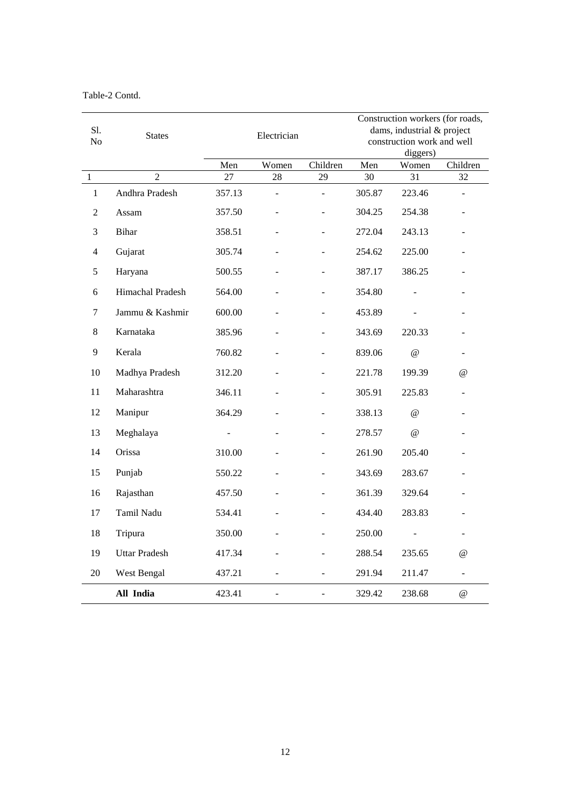Table-2 Contd.

|              |                      |        |                |                | Construction workers (for roads,       |                            |                          |
|--------------|----------------------|--------|----------------|----------------|----------------------------------------|----------------------------|--------------------------|
| S1.<br>No    | <b>States</b>        |        | Electrician    |                |                                        | dams, industrial & project |                          |
|              |                      |        |                |                | construction work and well<br>diggers) |                            |                          |
|              |                      | Men    | Women          | Children       | Men                                    | Women                      | Children                 |
| $\mathbf{1}$ | $\overline{2}$       | 27     | 28             | 29             | 30                                     | 31                         | 32                       |
| $\mathbf{1}$ | Andhra Pradesh       | 357.13 |                | $\overline{a}$ | 305.87                                 | 223.46                     |                          |
| 2            | Assam                | 357.50 |                |                | 304.25                                 | 254.38                     |                          |
| 3            | Bihar                | 358.51 |                |                | 272.04                                 | 243.13                     |                          |
| 4            | Gujarat              | 305.74 |                |                | 254.62                                 | 225.00                     |                          |
| 5            | Haryana              | 500.55 |                | $\overline{a}$ | 387.17                                 | 386.25                     |                          |
| 6            | Himachal Pradesh     | 564.00 |                |                | 354.80                                 |                            |                          |
| 7            | Jammu & Kashmir      | 600.00 |                |                | 453.89                                 |                            |                          |
| 8            | Karnataka            | 385.96 |                |                | 343.69                                 | 220.33                     |                          |
| 9            | Kerala               | 760.82 |                |                | 839.06                                 | $\omega$                   |                          |
| 10           | Madhya Pradesh       | 312.20 |                |                | 221.78                                 | 199.39                     | $^{\copyright}$          |
| 11           | Maharashtra          | 346.11 |                |                | 305.91                                 | 225.83                     |                          |
| 12           | Manipur              | 364.29 |                |                | 338.13                                 | $\omega$                   |                          |
| 13           | Meghalaya            |        |                |                | 278.57                                 | $\omega$                   |                          |
| 14           | Orissa               | 310.00 |                |                | 261.90                                 | 205.40                     |                          |
| 15           | Punjab               | 550.22 |                |                | 343.69                                 | 283.67                     |                          |
| 16           | Rajasthan            | 457.50 |                |                | 361.39                                 | 329.64                     |                          |
| 17           | Tamil Nadu           | 534.41 |                |                | 434.40                                 | 283.83                     |                          |
| 18           | Tripura              | 350.00 |                | ÷              | 250.00                                 |                            | $\overline{\phantom{0}}$ |
| 19           | <b>Uttar Pradesh</b> | 417.34 |                |                | 288.54                                 | 235.65                     | $\omega$                 |
| 20           | West Bengal          | 437.21 |                | $\sim$         | 291.94                                 | 211.47                     | ÷.                       |
|              | All India            | 423.41 | $\overline{a}$ | $\overline{a}$ | 329.42                                 | 238.68                     | $^{\circ}$               |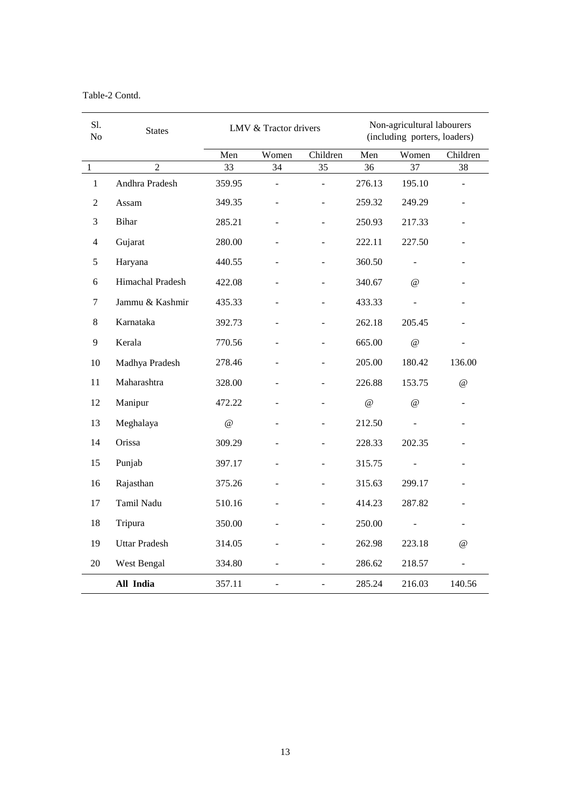## Table-2 Contd.

| S1.<br>N <sub>o</sub> | <b>States</b>        |          | Non-agricultural labourers<br>LMV & Tractor drivers<br>(including porters, loaders) |          |          |          |                      |
|-----------------------|----------------------|----------|-------------------------------------------------------------------------------------|----------|----------|----------|----------------------|
|                       |                      | Men      | Women                                                                               | Children | Men      | Women    | Children             |
| $\,1\,$               | $\overline{2}$       | 33       | 34                                                                                  | 35       | 36       | 37       | 38                   |
| $\mathbf{1}$          | Andhra Pradesh       | 359.95   |                                                                                     |          | 276.13   | 195.10   |                      |
| 2                     | Assam                | 349.35   |                                                                                     |          | 259.32   | 249.29   |                      |
| 3                     | <b>Bihar</b>         | 285.21   |                                                                                     |          | 250.93   | 217.33   | $\equiv$             |
| 4                     | Gujarat              | 280.00   |                                                                                     |          | 222.11   | 227.50   | ÷,                   |
| 5                     | Haryana              | 440.55   |                                                                                     |          | 360.50   |          |                      |
| 6                     | Himachal Pradesh     | 422.08   |                                                                                     |          | 340.67   | $\omega$ |                      |
| 7                     | Jammu & Kashmir      | 435.33   |                                                                                     |          | 433.33   | ÷.       |                      |
| 8                     | Karnataka            | 392.73   |                                                                                     |          | 262.18   | 205.45   |                      |
| 9                     | Kerala               | 770.56   |                                                                                     |          | 665.00   | $\omega$ |                      |
| 10                    | Madhya Pradesh       | 278.46   |                                                                                     |          | 205.00   | 180.42   | 136.00               |
| 11                    | Maharashtra          | 328.00   |                                                                                     |          | 226.88   | 153.75   | $^{\circ}$           |
| 12                    | Manipur              | 472.22   |                                                                                     |          | $\omega$ | $\omega$ | ÷,                   |
| 13                    | Meghalaya            | $\omega$ |                                                                                     |          | 212.50   |          |                      |
| 14                    | Orissa               | 309.29   |                                                                                     |          | 228.33   | 202.35   |                      |
| 15                    | Punjab               | 397.17   |                                                                                     |          | 315.75   |          |                      |
| 16                    | Rajasthan            | 375.26   |                                                                                     |          | 315.63   | 299.17   |                      |
| 17                    | Tamil Nadu           | 510.16   |                                                                                     |          | 414.23   | 287.82   |                      |
| 18                    | Tripura              | 350.00   |                                                                                     | ٠        | 250.00   |          | ۰                    |
| 19                    | <b>Uttar Pradesh</b> | 314.05   |                                                                                     |          | 262.98   | 223.18   | $^{\textregistered}$ |
| 20                    | West Bengal          | 334.80   |                                                                                     | ÷.       | 286.62   | 218.57   | ÷,                   |
|                       | All India            | 357.11   | $\overline{a}$                                                                      |          | 285.24   | 216.03   | 140.56               |